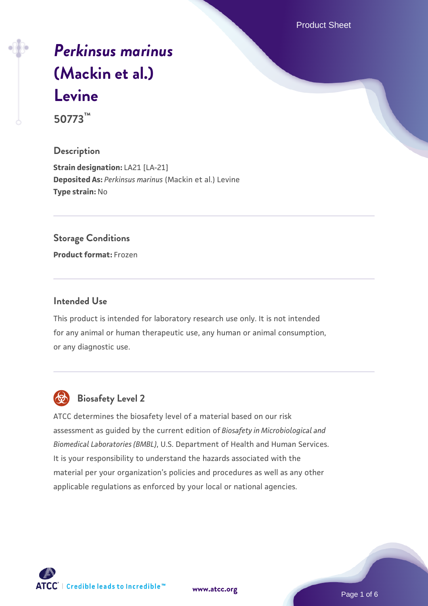Product Sheet

# *[Perkinsus marinus](https://www.atcc.org/products/50773)* **[\(Mackin et al.\)](https://www.atcc.org/products/50773) [Levine](https://www.atcc.org/products/50773)**

**50773™**

# **Description**

**Strain designation:** LA21 [LA-21] **Deposited As:** *Perkinsus marinus* (Mackin et al.) Levine **Type strain:** No

# **Storage Conditions**

**Product format:** Frozen

# **Intended Use**

This product is intended for laboratory research use only. It is not intended for any animal or human therapeutic use, any human or animal consumption, or any diagnostic use.



# **Biosafety Level 2**

ATCC determines the biosafety level of a material based on our risk assessment as guided by the current edition of *Biosafety in Microbiological and Biomedical Laboratories (BMBL)*, U.S. Department of Health and Human Services. It is your responsibility to understand the hazards associated with the material per your organization's policies and procedures as well as any other applicable regulations as enforced by your local or national agencies.

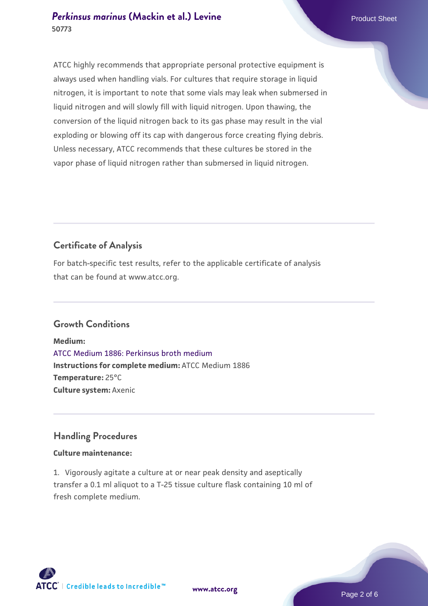# **[Perkinsus marinus](https://www.atcc.org/products/50773) [\(Mackin et al.\) Levine](https://www.atcc.org/products/50773)** Product Sheet **50773**

ATCC highly recommends that appropriate personal protective equipment is always used when handling vials. For cultures that require storage in liquid nitrogen, it is important to note that some vials may leak when submersed in liquid nitrogen and will slowly fill with liquid nitrogen. Upon thawing, the conversion of the liquid nitrogen back to its gas phase may result in the vial exploding or blowing off its cap with dangerous force creating flying debris. Unless necessary, ATCC recommends that these cultures be stored in the vapor phase of liquid nitrogen rather than submersed in liquid nitrogen.

# **Certificate of Analysis**

For batch-specific test results, refer to the applicable certificate of analysis that can be found at www.atcc.org.

# **Growth Conditions**

**Medium:**  [ATCC Medium 1886: Perkinsus broth medium](https://www.atcc.org/-/media/product-assets/documents/microbial-media-formulations/atcc-medium-1886.pdf?rev=3f191fd8ade443aca9e8e4826432baa3) **Instructions for complete medium:** ATCC Medium 1886 **Temperature:** 25°C **Culture system:** Axenic

# **Handling Procedures**

# **Culture maintenance:**

1. Vigorously agitate a culture at or near peak density and aseptically transfer a 0.1 ml aliquot to a T-25 tissue culture flask containing 10 ml of fresh complete medium.



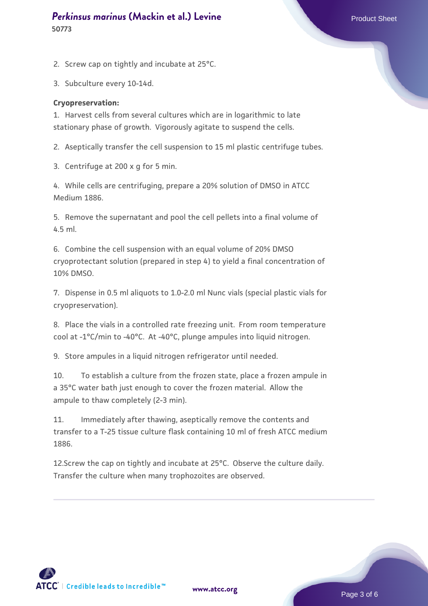#### **[Perkinsus marinus](https://www.atcc.org/products/50773) [\(Mackin et al.\) Levine](https://www.atcc.org/products/50773)** Product Sheet **50773**

2. Screw cap on tightly and incubate at 25°C.

3. Subculture every 10-14d.

#### **Cryopreservation:**

1. Harvest cells from several cultures which are in logarithmic to late stationary phase of growth. Vigorously agitate to suspend the cells.

2. Aseptically transfer the cell suspension to 15 ml plastic centrifuge tubes.

3. Centrifuge at 200 x g for 5 min.

4. While cells are centrifuging, prepare a 20% solution of DMSO in ATCC Medium 1886.

5. Remove the supernatant and pool the cell pellets into a final volume of 4.5 ml.

6. Combine the cell suspension with an equal volume of 20% DMSO cryoprotectant solution (prepared in step 4) to yield a final concentration of 10% DMSO.

7. Dispense in 0.5 ml aliquots to 1.0-2.0 ml Nunc vials (special plastic vials for cryopreservation).

8. Place the vials in a controlled rate freezing unit. From room temperature cool at -1°C/min to -40°C. At -40°C, plunge ampules into liquid nitrogen.

9. Store ampules in a liquid nitrogen refrigerator until needed.

10. To establish a culture from the frozen state, place a frozen ampule in a 35°C water bath just enough to cover the frozen material. Allow the ampule to thaw completely (2-3 min).

11. Immediately after thawing, aseptically remove the contents and transfer to a T-25 tissue culture flask containing 10 ml of fresh ATCC medium 1886.

12.Screw the cap on tightly and incubate at 25°C. Observe the culture daily. Transfer the culture when many trophozoites are observed.

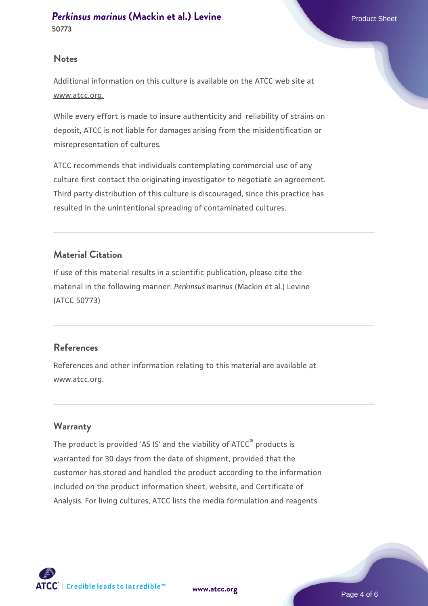### **Notes**

Additional information on this culture is available on the ATCC web site at www.atcc.org.

While every effort is made to insure authenticity and reliability of strains on deposit, ATCC is not liable for damages arising from the misidentification or misrepresentation of cultures.

ATCC recommends that individuals contemplating commercial use of any culture first contact the originating investigator to negotiate an agreement. Third party distribution of this culture is discouraged, since this practice has resulted in the unintentional spreading of contaminated cultures.

# **Material Citation**

If use of this material results in a scientific publication, please cite the material in the following manner: *Perkinsus marinus* (Mackin et al.) Levine (ATCC 50773)

# **References**

References and other information relating to this material are available at www.atcc.org.

# **Warranty**

The product is provided 'AS IS' and the viability of ATCC® products is warranted for 30 days from the date of shipment, provided that the customer has stored and handled the product according to the information included on the product information sheet, website, and Certificate of Analysis. For living cultures, ATCC lists the media formulation and reagents

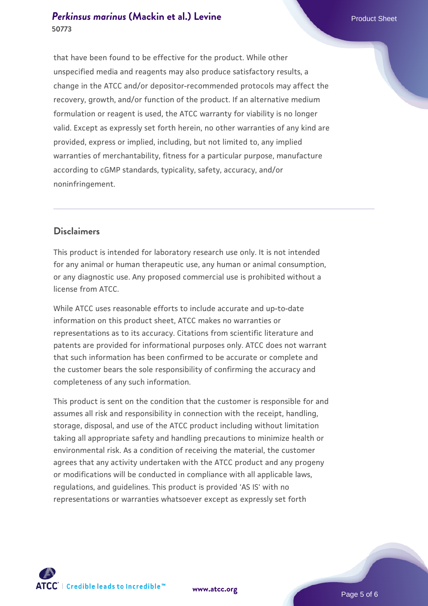# **[Perkinsus marinus](https://www.atcc.org/products/50773) [\(Mackin et al.\) Levine](https://www.atcc.org/products/50773)** Product Sheet **50773**

that have been found to be effective for the product. While other unspecified media and reagents may also produce satisfactory results, a change in the ATCC and/or depositor-recommended protocols may affect the recovery, growth, and/or function of the product. If an alternative medium formulation or reagent is used, the ATCC warranty for viability is no longer valid. Except as expressly set forth herein, no other warranties of any kind are provided, express or implied, including, but not limited to, any implied warranties of merchantability, fitness for a particular purpose, manufacture according to cGMP standards, typicality, safety, accuracy, and/or noninfringement.

# **Disclaimers**

This product is intended for laboratory research use only. It is not intended for any animal or human therapeutic use, any human or animal consumption, or any diagnostic use. Any proposed commercial use is prohibited without a license from ATCC.

While ATCC uses reasonable efforts to include accurate and up-to-date information on this product sheet, ATCC makes no warranties or representations as to its accuracy. Citations from scientific literature and patents are provided for informational purposes only. ATCC does not warrant that such information has been confirmed to be accurate or complete and the customer bears the sole responsibility of confirming the accuracy and completeness of any such information.

This product is sent on the condition that the customer is responsible for and assumes all risk and responsibility in connection with the receipt, handling, storage, disposal, and use of the ATCC product including without limitation taking all appropriate safety and handling precautions to minimize health or environmental risk. As a condition of receiving the material, the customer agrees that any activity undertaken with the ATCC product and any progeny or modifications will be conducted in compliance with all applicable laws, regulations, and guidelines. This product is provided 'AS IS' with no representations or warranties whatsoever except as expressly set forth



**[www.atcc.org](http://www.atcc.org)**

Page 5 of 6